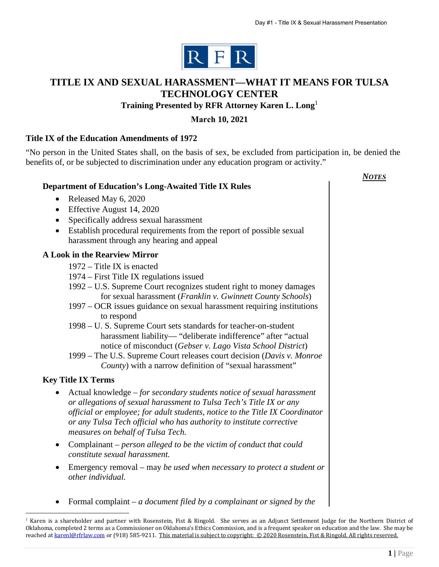

# **TITLE IX AND SEXUAL HARASSMENT—WHAT IT MEANS FOR TULSA TECHNOLOGY CENTER**

# **Training Presented by RFR Attorney Karen L. Long**<sup>1</sup>

### **March 10, 2021**

### **Title IX of the Education Amendments of 1972**

"No person in the United States shall, on the basis of sex, be excluded from participation in, be denied the benefits of, or be subjected to discrimination under any education program or activity."

|                                                                                                                                                                                                                                                                                                                                           | Notes |
|-------------------------------------------------------------------------------------------------------------------------------------------------------------------------------------------------------------------------------------------------------------------------------------------------------------------------------------------|-------|
| <b>Department of Education's Long-Awaited Title IX Rules</b>                                                                                                                                                                                                                                                                              |       |
| Released May 6, 2020<br>$\bullet$                                                                                                                                                                                                                                                                                                         |       |
| Effective August 14, 2020<br>٠                                                                                                                                                                                                                                                                                                            |       |
| Specifically address sexual harassment<br>$\bullet$                                                                                                                                                                                                                                                                                       |       |
| Establish procedural requirements from the report of possible sexual<br>$\bullet$<br>harassment through any hearing and appeal                                                                                                                                                                                                            |       |
| <b>A Look in the Rearview Mirror</b>                                                                                                                                                                                                                                                                                                      |       |
| 1972 – Title IX is enacted                                                                                                                                                                                                                                                                                                                |       |
| 1974 – First Title IX regulations issued                                                                                                                                                                                                                                                                                                  |       |
| 1992 – U.S. Supreme Court recognizes student right to money damages<br>for sexual harassment (Franklin v. Gwinnett County Schools)                                                                                                                                                                                                        |       |
| 1997 – OCR issues guidance on sexual harassment requiring institutions<br>to respond                                                                                                                                                                                                                                                      |       |
| 1998 – U. S. Supreme Court sets standards for teacher-on-student                                                                                                                                                                                                                                                                          |       |
| harassment liability-"deliberate indifference" after "actual<br>notice of misconduct (Gebser v. Lago Vista School District)                                                                                                                                                                                                               |       |
| 1999 – The U.S. Supreme Court releases court decision (Davis v. Monroe                                                                                                                                                                                                                                                                    |       |
| County) with a narrow definition of "sexual harassment"                                                                                                                                                                                                                                                                                   |       |
| <b>Key Title IX Terms</b>                                                                                                                                                                                                                                                                                                                 |       |
| Actual knowledge - for secondary students notice of sexual harassment<br>or allegations of sexual harassment to Tulsa Tech's Title IX or any<br>official or employee; for adult students, notice to the Title IX Coordinator<br>or any Tulsa Tech official who has authority to institute corrective<br>measures on behalf of Tulsa Tech. |       |
| Complainant – person alleged to be the victim of conduct that could<br>$\bullet$<br>constitute sexual harassment.                                                                                                                                                                                                                         |       |
| Emergency removal – may be used when necessary to protect a student or<br>٠<br>other individual.                                                                                                                                                                                                                                          |       |
| Formal complaint – a document filed by a complainant or signed by the                                                                                                                                                                                                                                                                     |       |

<sup>&</sup>lt;sup>1</sup> Karen is a shareholder and partner with Rosenstein, Fist & Ringold. She serves as an Adjunct Settlement Judge for the Northern District of Oklahoma, completed 2 terms as a Commissioner on Oklahoma's Ethics Commission, and is a frequent speaker on education and the law. She may be reached a[t karenl@rfrlaw.com o](mailto:karenl@rfrlaw.com)r (918) 585-9211. This material is subject to copyright: © 2020 Rosenstein, Fist & Ringold. All rights reserved.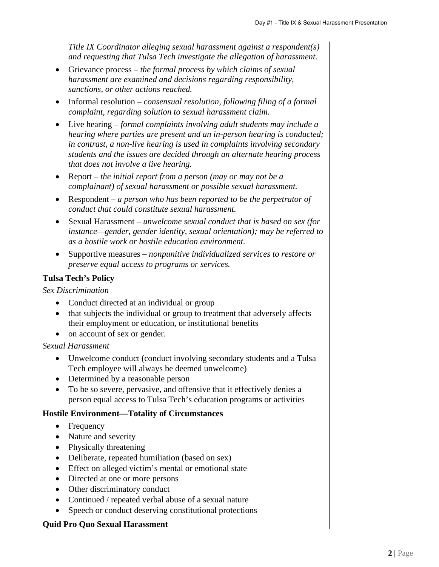*Title IX Coordinator alleging sexual harassment against a respondent(s) and requesting that Tulsa Tech investigate the allegation of harassment.* 

- Grievance process *the formal process by which claims of sexual harassment are examined and decisions regarding responsibility, sanctions, or other actions reached.*
- Informal resolution *consensual resolution, following filing of a formal complaint, regarding solution to sexual harassment claim.*
- Live hearing *formal complaints involving adult students may include a hearing where parties are present and an in-person hearing is conducted; in contrast, a non-live hearing is used in complaints involving secondary students and the issues are decided through an alternate hearing process that does not involve a live hearing.*
- Report *the initial report from a person (may or may not be a complainant) of sexual harassment or possible sexual harassment.*
- Respondent *a person who has been reported to be the perpetrator of conduct that could constitute sexual harassment.*
- Sexual Harassment *unwelcome sexual conduct that is based on sex (for instance—gender, gender identity, sexual orientation); may be referred to as a hostile work or hostile education environment.*
- Supportive measures *nonpunitive individualized services to restore or preserve equal access to programs or services.*

### **Tulsa Tech's Policy**

### *Sex Discrimination*

- Conduct directed at an individual or group
- that subjects the individual or group to treatment that adversely affects their employment or education, or institutional benefits
- on account of sex or gender.

### *Sexual Harassment*

- Unwelcome conduct (conduct involving secondary students and a Tulsa Tech employee will always be deemed unwelcome)
- Determined by a reasonable person
- To be so severe, pervasive, and offensive that it effectively denies a person equal access to Tulsa Tech's education programs or activities

### **Hostile Environment—Totality of Circumstances**

- Frequency
- Nature and severity
- Physically threatening
- Deliberate, repeated humiliation (based on sex)
- Effect on alleged victim's mental or emotional state
- Directed at one or more persons
- Other discriminatory conduct
- Continued / repeated verbal abuse of a sexual nature
- Speech or conduct deserving constitutional protections

### **Quid Pro Quo Sexual Harassment**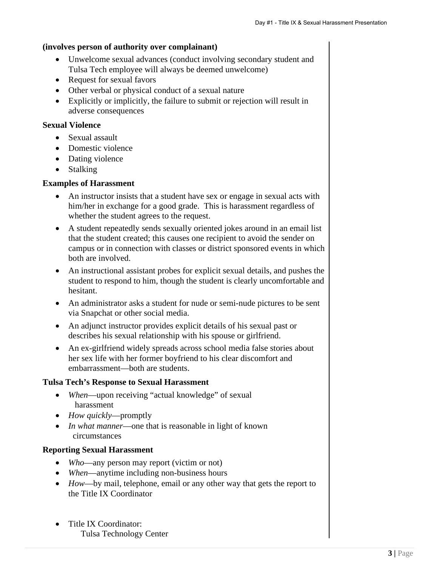### **(involves person of authority over complainant)**

- Unwelcome sexual advances (conduct involving secondary student and Tulsa Tech employee will always be deemed unwelcome)
- Request for sexual favors
- Other verbal or physical conduct of a sexual nature
- Explicitly or implicitly, the failure to submit or rejection will result in adverse consequences

### **Sexual Violence**

- Sexual assault
- Domestic violence
- Dating violence
- Stalking

### **Examples of Harassment**

- An instructor insists that a student have sex or engage in sexual acts with him/her in exchange for a good grade. This is harassment regardless of whether the student agrees to the request.
- A student repeatedly sends sexually oriented jokes around in an email list that the student created; this causes one recipient to avoid the sender on campus or in connection with classes or district sponsored events in which both are involved.
- An instructional assistant probes for explicit sexual details, and pushes the student to respond to him, though the student is clearly uncomfortable and hesitant.
- An administrator asks a student for nude or semi-nude pictures to be sent via Snapchat or other social media.
- An adjunct instructor provides explicit details of his sexual past or describes his sexual relationship with his spouse or girlfriend.
- An ex-girlfriend widely spreads across school media false stories about her sex life with her former boyfriend to his clear discomfort and embarrassment—both are students.

# **Tulsa Tech's Response to Sexual Harassment**

- When—upon receiving "actual knowledge" of sexual harassment
- *How quickly*—promptly
- *In what manner*—one that is reasonable in light of known circumstances

# **Reporting Sexual Harassment**

- Who—any person may report (victim or not)
- *When*—anytime including non-business hours
- *How*—by mail, telephone, email or any other way that gets the report to the Title IX Coordinator
- Title IX Coordinator: Tulsa Technology Center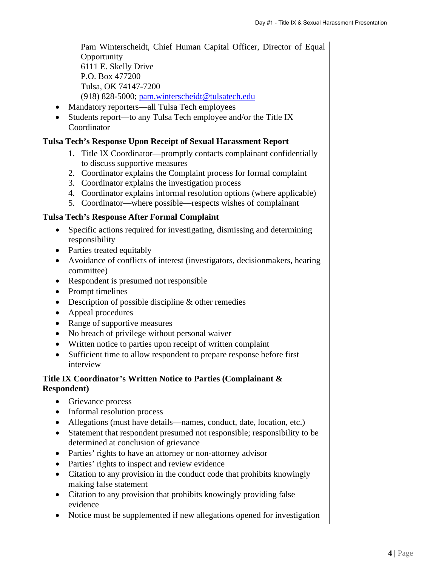Pam Winterscheidt, Chief Human Capital Officer, Director of Equal **Opportunity** 6111 E. Skelly Drive P.O. Box 477200 Tulsa, OK 74147-7200 (918) 828-5000; [pam.wintersche](mailto:pam.winterschedit@tulsatech.edu)idt@tulsatech.edu

- Mandatory reporters—all Tulsa Tech employees
- Students report—to any Tulsa Tech employee and/or the Title IX Coordinator

### **Tulsa Tech's Response Upon Receipt of Sexual Harassment Report**

- 1. Title IX Coordinator—promptly contacts complainant confidentially to discuss supportive measures
- 2. Coordinator explains the Complaint process for formal complaint
- 3. Coordinator explains the investigation process
- 4. Coordinator explains informal resolution options (where applicable)
- 5. Coordinator—where possible—respects wishes of complainant

### **Tulsa Tech's Response After Formal Complaint**

- Specific actions required for investigating, dismissing and determining responsibility
- Parties treated equitably
- Avoidance of conflicts of interest (investigators, decisionmakers, hearing committee)
- Respondent is presumed not responsible
- Prompt timelines
- Description of possible discipline & other remedies
- Appeal procedures
- Range of supportive measures
- No breach of privilege without personal waiver
- Written notice to parties upon receipt of written complaint
- Sufficient time to allow respondent to prepare response before first interview

### **Title IX Coordinator's Written Notice to Parties (Complainant & Respondent)**

- Grievance process
- Informal resolution process
- Allegations (must have details—names, conduct, date, location, etc.)
- Statement that respondent presumed not responsible; responsibility to be determined at conclusion of grievance
- Parties' rights to have an attorney or non-attorney advisor
- Parties' rights to inspect and review evidence
- Citation to any provision in the conduct code that prohibits knowingly making false statement
- Citation to any provision that prohibits knowingly providing false evidence
- Notice must be supplemented if new allegations opened for investigation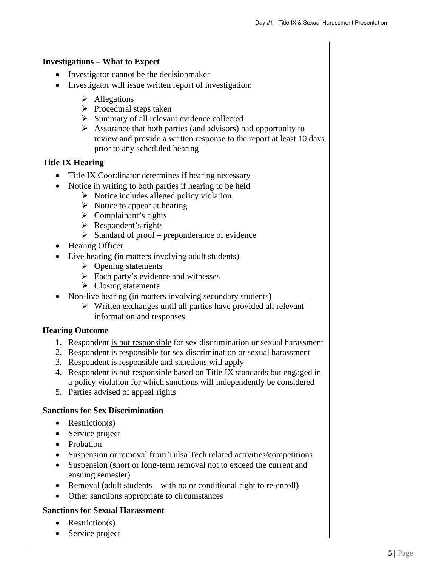### **Investigations – What to Expect**

- Investigator cannot be the decision maker
- Investigator will issue written report of investigation:
	- $\triangleright$  Allegations
	- $\triangleright$  Procedural steps taken
	- $\triangleright$  Summary of all relevant evidence collected
	- $\triangleright$  Assurance that both parties (and advisors) had opportunity to review and provide a written response to the report at least 10 days prior to any scheduled hearing

### **Title IX Hearing**

- Title IX Coordinator determines if hearing necessary
- Notice in writing to both parties if hearing to be held
	- $\triangleright$  Notice includes alleged policy violation
	- $\triangleright$  Notice to appear at hearing
	- $\triangleright$  Complainant's rights
	- $\triangleright$  Respondent's rights
	- $\triangleright$  Standard of proof preponderance of evidence
- Hearing Officer
- Live hearing (in matters involving adult students)
	- $\triangleright$  Opening statements
	- $\triangleright$  Each party's evidence and witnesses
	- $\triangleright$  Closing statements
- Non-live hearing (in matters involving secondary students)
	- $\triangleright$  Written exchanges until all parties have provided all relevant information and responses

### **Hearing Outcome**

- 1. Respondent is not responsible for sex discrimination or sexual harassment
- 2. Respondent is responsible for sex discrimination or sexual harassment
- 3. Respondent is responsible and sanctions will apply
- 4. Respondent is not responsible based on Title IX standards but engaged in a policy violation for which sanctions will independently be considered
- 5. Parties advised of appeal rights

# **Sanctions for Sex Discrimination**

- $\bullet$  Restriction(s)
- Service project
- Probation
- Suspension or removal from Tulsa Tech related activities/competitions
- Suspension (short or long-term removal not to exceed the current and ensuing semester)
- Removal (adult students—with no or conditional right to re-enroll)
- Other sanctions appropriate to circumstances

# **Sanctions for Sexual Harassment**

- Restriction(s)
- Service project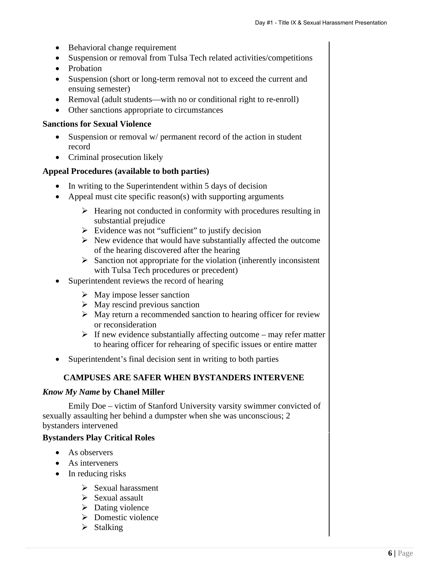- Behavioral change requirement
- Suspension or removal from Tulsa Tech related activities/competitions
- Probation
- Suspension (short or long-term removal not to exceed the current and ensuing semester)
- Removal (adult students—with no or conditional right to re-enroll)
- Other sanctions appropriate to circumstances

### **Sanctions for Sexual Violence**

- Suspension or removal w/ permanent record of the action in student record
- Criminal prosecution likely

### **Appeal Procedures (available to both parties)**

- In writing to the Superintendent within 5 days of decision
- Appeal must cite specific reason(s) with supporting arguments
	- $\triangleright$  Hearing not conducted in conformity with procedures resulting in substantial prejudice
	- $\triangleright$  Evidence was not "sufficient" to justify decision
	- $\triangleright$  New evidence that would have substantially affected the outcome of the hearing discovered after the hearing
	- $\triangleright$  Sanction not appropriate for the violation (inherently inconsistent with Tulsa Tech procedures or precedent)
	- Superintendent reviews the record of hearing
		- $\triangleright$  May impose lesser sanction
		- $\triangleright$  May rescind previous sanction
		- $\triangleright$  May return a recommended sanction to hearing officer for review or reconsideration
		- $\triangleright$  If new evidence substantially affecting outcome may refer matter to hearing officer for rehearing of specific issues or entire matter
- Superintendent's final decision sent in writing to both parties

# **CAMPUSES ARE SAFER WHEN BYSTANDERS INTERVENE**

### *Know My Name* **by Chanel Miller**

Emily Doe – victim of Stanford University varsity swimmer convicted of sexually assaulting her behind a dumpster when she was unconscious; 2 bystanders intervened

### **Bystanders Play Critical Roles**

- As observers
- As interveners
- $\bullet$  In reducing risks
	- $\triangleright$  Sexual harassment
	- $\triangleright$  Sexual assault
	- $\triangleright$  Dating violence
	- $\triangleright$  Domestic violence
	- $\triangleright$  Stalking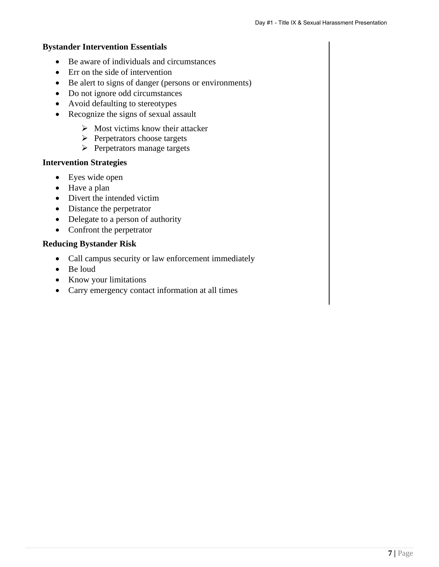#### **Bystander Intervention Essentials**

- Be aware of individuals and circumstances
- Err on the side of intervention
- Be alert to signs of danger (persons or environments)
- Do not ignore odd circumstances
- Avoid defaulting to stereotypes
- Recognize the signs of sexual assault
	- $\triangleright$  Most victims know their attacker
	- $\triangleright$  Perpetrators choose targets
	- $\triangleright$  Perpetrators manage targets

#### **Intervention Strategies**

- Eyes wide open
- Have a plan
- Divert the intended victim
- Distance the perpetrator
- Delegate to a person of authority
- Confront the perpetrator

#### **Reducing Bystander Risk**

- Call campus security or law enforcement immediately
- Be loud
- Know your limitations
- Carry emergency contact information at all times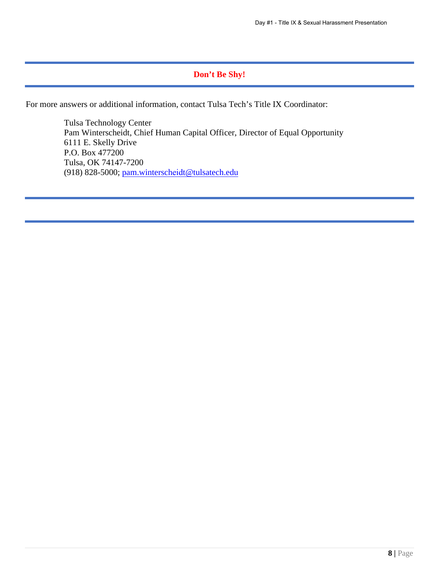# **Don't Be Shy!**

For more answers or additional information, contact Tulsa Tech's Title IX Coordinator:

Tulsa Technology Center Pam Winterscheidt, Chief Human Capital Officer, Director of Equal Opportunity 6111 E. Skelly Drive P.O. Box 477200 Tulsa, OK 74147-7200 (918) 828-5000; pam.winterscheid[t@tulsatech.edu](mailto:pam.winterschedit@tulsatech.edu)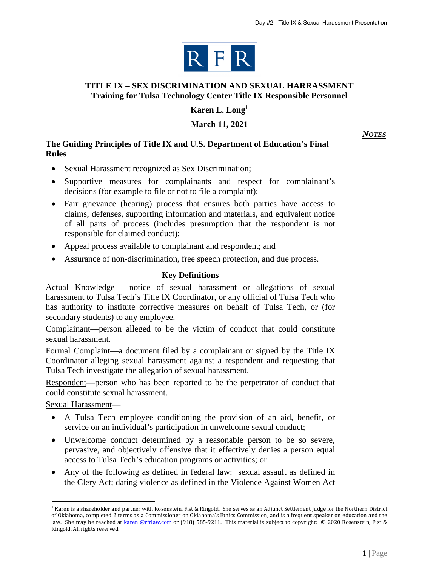

### **TITLE IX – SEX DISCRIMINATION AND SEXUAL HARRASSMENT Training for Tulsa Technology Center Title IX Responsible Personnel**

**Karen L. Long**<sup>1</sup>

**March 11, 2021**

*NOTES*

### **The Guiding Principles of Title IX and U.S. Department of Education's Final Rules**

- Sexual Harassment recognized as Sex Discrimination;
- Supportive measures for complainants and respect for complainant's decisions (for example to file or not to file a complaint);
- Fair grievance (hearing) process that ensures both parties have access to claims, defenses, supporting information and materials, and equivalent notice of all parts of process (includes presumption that the respondent is not responsible for claimed conduct);
- Appeal process available to complainant and respondent; and
- Assurance of non-discrimination, free speech protection, and due process.

# **Key Definitions**

Actual Knowledge— notice of sexual harassment or allegations of sexual harassment to Tulsa Tech's Title IX Coordinator, or any official of Tulsa Tech who has authority to institute corrective measures on behalf of Tulsa Tech, or (for secondary students) to any employee.

Complainant—person alleged to be the victim of conduct that could constitute sexual harassment.

Formal Complaint—a document filed by a complainant or signed by the Title IX Coordinator alleging sexual harassment against a respondent and requesting that Tulsa Tech investigate the allegation of sexual harassment.

Respondent—person who has been reported to be the perpetrator of conduct that could constitute sexual harassment.

Sexual Harassment—

- A Tulsa Tech employee conditioning the provision of an aid, benefit, or service on an individual's participation in unwelcome sexual conduct;
- Unwelcome conduct determined by a reasonable person to be so severe, pervasive, and objectively offensive that it effectively denies a person equal access to Tulsa Tech's education programs or activities; or
- Any of the following as defined in federal law: sexual assault as defined in the Clery Act; dating violence as defined in the Violence Against Women Act

<sup>&</sup>lt;sup>1</sup> Karen is a shareholder and partner with Rosenstein, Fist & Ringold. She serves as an Adjunct Settlement Judge for the Northern District of Oklahoma, completed 2 terms as a Commissioner on Oklahoma's Ethics Commission, and is a frequent speaker on education and the law. She may be reached at [karenl@rfrlaw.com](mailto:karenl@rfrlaw.com) or (918) 585-9211. This material is subject to copyright: © 2020 Rosenstein, Fist & Ringold. All rights reserved.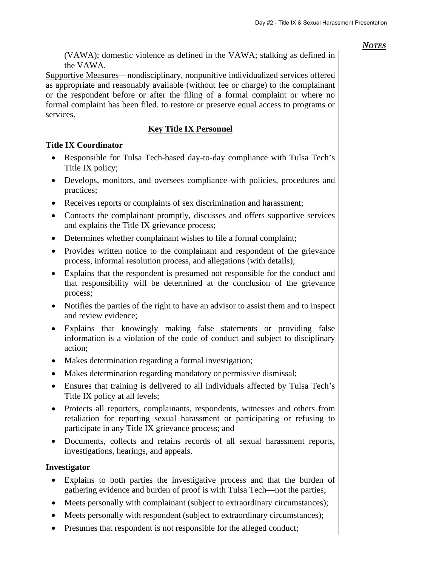(VAWA); domestic violence as defined in the VAWA; stalking as defined in the VAWA.

Supportive Measures—nondisciplinary, nonpunitive individualized services offered as appropriate and reasonably available (without fee or charge) to the complainant or the respondent before or after the filing of a formal complaint or where no formal complaint has been filed. to restore or preserve equal access to programs or services.

# **Key Title IX Personnel**

### **Title IX Coordinator**

- Responsible for Tulsa Tech-based day-to-day compliance with Tulsa Tech's Title IX policy;
- Develops, monitors, and oversees compliance with policies, procedures and practices;
- Receives reports or complaints of sex discrimination and harassment;
- Contacts the complainant promptly, discusses and offers supportive services and explains the Title IX grievance process;
- Determines whether complainant wishes to file a formal complaint;
- Provides written notice to the complainant and respondent of the grievance process, informal resolution process, and allegations (with details);
- Explains that the respondent is presumed not responsible for the conduct and that responsibility will be determined at the conclusion of the grievance process;
- Notifies the parties of the right to have an advisor to assist them and to inspect and review evidence;
- Explains that knowingly making false statements or providing false information is a violation of the code of conduct and subject to disciplinary action;
- Makes determination regarding a formal investigation;
- Makes determination regarding mandatory or permissive dismissal;
- Ensures that training is delivered to all individuals affected by Tulsa Tech's Title IX policy at all levels;
- Protects all reporters, complainants, respondents, witnesses and others from retaliation for reporting sexual harassment or participating or refusing to participate in any Title IX grievance process; and
- Documents, collects and retains records of all sexual harassment reports, investigations, hearings, and appeals.

### **Investigator**

- Explains to both parties the investigative process and that the burden of gathering evidence and burden of proof is with Tulsa Tech—not the parties;
- Meets personally with complainant (subject to extraordinary circumstances);
- Meets personally with respondent (subject to extraordinary circumstances);
- Presumes that respondent is not responsible for the alleged conduct;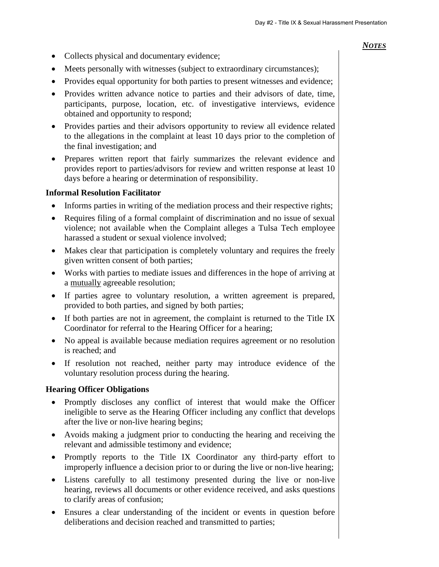- Collects physical and documentary evidence:
- Meets personally with witnesses (subject to extraordinary circumstances);
- Provides equal opportunity for both parties to present witnesses and evidence;
- Provides written advance notice to parties and their advisors of date, time, participants, purpose, location, etc. of investigative interviews, evidence obtained and opportunity to respond;
- Provides parties and their advisors opportunity to review all evidence related to the allegations in the complaint at least 10 days prior to the completion of the final investigation; and
- Prepares written report that fairly summarizes the relevant evidence and provides report to parties/advisors for review and written response at least 10 days before a hearing or determination of responsibility.

#### **Informal Resolution Facilitator**

- Informs parties in writing of the mediation process and their respective rights;
- Requires filing of a formal complaint of discrimination and no issue of sexual violence; not available when the Complaint alleges a Tulsa Tech employee harassed a student or sexual violence involved;
- Makes clear that participation is completely voluntary and requires the freely given written consent of both parties;
- Works with parties to mediate issues and differences in the hope of arriving at a mutually agreeable resolution;
- If parties agree to voluntary resolution, a written agreement is prepared, provided to both parties, and signed by both parties;
- If both parties are not in agreement, the complaint is returned to the Title IX Coordinator for referral to the Hearing Officer for a hearing;
- No appeal is available because mediation requires agreement or no resolution is reached; and
- If resolution not reached, neither party may introduce evidence of the voluntary resolution process during the hearing.

### **Hearing Officer Obligations**

- Promptly discloses any conflict of interest that would make the Officer ineligible to serve as the Hearing Officer including any conflict that develops after the live or non-live hearing begins;
- Avoids making a judgment prior to conducting the hearing and receiving the relevant and admissible testimony and evidence;
- Promptly reports to the Title IX Coordinator any third-party effort to improperly influence a decision prior to or during the live or non-live hearing;
- Listens carefully to all testimony presented during the live or non-live hearing, reviews all documents or other evidence received, and asks questions to clarify areas of confusion;
- Ensures a clear understanding of the incident or events in question before deliberations and decision reached and transmitted to parties;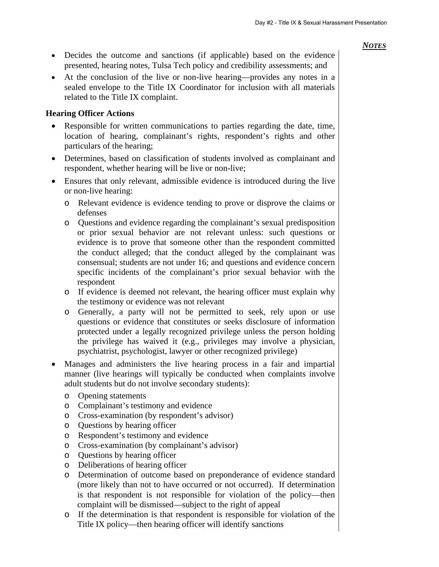- Decides the outcome and sanctions (if applicable) based on the evidence presented, hearing notes, Tulsa Tech policy and credibility assessments; and
- At the conclusion of the live or non-live hearing—provides any notes in a sealed envelope to the Title IX Coordinator for inclusion with all materials related to the Title IX complaint.

#### **Hearing Officer Actions**

- Responsible for written communications to parties regarding the date, time, location of hearing, complainant's rights, respondent's rights and other particulars of the hearing;
- Determines, based on classification of students involved as complainant and respondent, whether hearing will be live or non-live;
- Ensures that only relevant, admissible evidence is introduced during the live or non-live hearing:
	- o Relevant evidence is evidence tending to prove or disprove the claims or defenses
	- o Questions and evidence regarding the complainant's sexual predisposition or prior sexual behavior are not relevant unless: such questions or evidence is to prove that someone other than the respondent committed the conduct alleged; that the conduct alleged by the complainant was consensual; students are not under 16; and questions and evidence concern specific incidents of the complainant's prior sexual behavior with the respondent
	- o If evidence is deemed not relevant, the hearing officer must explain why the testimony or evidence was not relevant
	- o Generally, a party will not be permitted to seek, rely upon or use questions or evidence that constitutes or seeks disclosure of information protected under a legally recognized privilege unless the person holding the privilege has waived it (e.g., privileges may involve a physician, psychiatrist, psychologist, lawyer or other recognized privilege)
- Manages and administers the live hearing process in a fair and impartial manner (live hearings will typically be conducted when complaints involve adult students but do not involve secondary students):
	- o Opening statements
	- o Complainant's testimony and evidence
	- o Cross-examination (by respondent's advisor)
	- o Questions by hearing officer
	- o Respondent's testimony and evidence
	- o Cross-examination (by complainant's advisor)
	- o Questions by hearing officer
	- o Deliberations of hearing officer
	- o Determination of outcome based on preponderance of evidence standard (more likely than not to have occurred or not occurred). If determination is that respondent is not responsible for violation of the policy—then complaint will be dismissed—subject to the right of appeal
	- o If the determination is that respondent is responsible for violation of the Title IX policy—then hearing officer will identify sanctions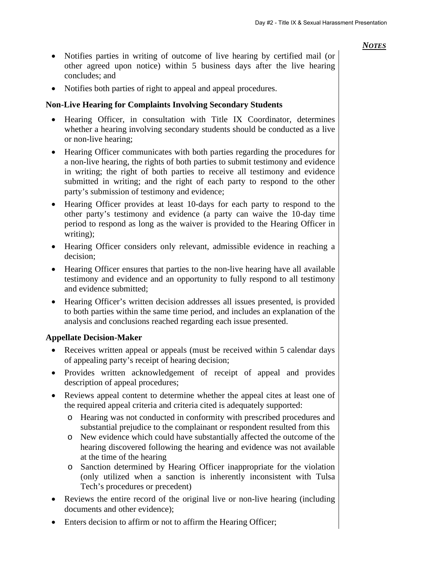- Notifies parties in writing of outcome of live hearing by certified mail (or other agreed upon notice) within 5 business days after the live hearing concludes; and
- Notifies both parties of right to appeal and appeal procedures.

### **Non-Live Hearing for Complaints Involving Secondary Students**

- Hearing Officer, in consultation with Title IX Coordinator, determines whether a hearing involving secondary students should be conducted as a live or non-live hearing;
- Hearing Officer communicates with both parties regarding the procedures for a non-live hearing, the rights of both parties to submit testimony and evidence in writing; the right of both parties to receive all testimony and evidence submitted in writing; and the right of each party to respond to the other party's submission of testimony and evidence;
- Hearing Officer provides at least 10-days for each party to respond to the other party's testimony and evidence (a party can waive the 10-day time period to respond as long as the waiver is provided to the Hearing Officer in writing);
- Hearing Officer considers only relevant, admissible evidence in reaching a decision;
- Hearing Officer ensures that parties to the non-live hearing have all available testimony and evidence and an opportunity to fully respond to all testimony and evidence submitted;
- Hearing Officer's written decision addresses all issues presented, is provided to both parties within the same time period, and includes an explanation of the analysis and conclusions reached regarding each issue presented.

### **Appellate Decision-Maker**

- Receives written appeal or appeals (must be received within 5 calendar days of appealing party's receipt of hearing decision;
- Provides written acknowledgement of receipt of appeal and provides description of appeal procedures;
- Reviews appeal content to determine whether the appeal cites at least one of the required appeal criteria and criteria cited is adequately supported:
	- o Hearing was not conducted in conformity with prescribed procedures and substantial prejudice to the complainant or respondent resulted from this
	- o New evidence which could have substantially affected the outcome of the hearing discovered following the hearing and evidence was not available at the time of the hearing
	- o Sanction determined by Hearing Officer inappropriate for the violation (only utilized when a sanction is inherently inconsistent with Tulsa Tech's procedures or precedent)
- Reviews the entire record of the original live or non-live hearing (including documents and other evidence);
- Enters decision to affirm or not to affirm the Hearing Officer;